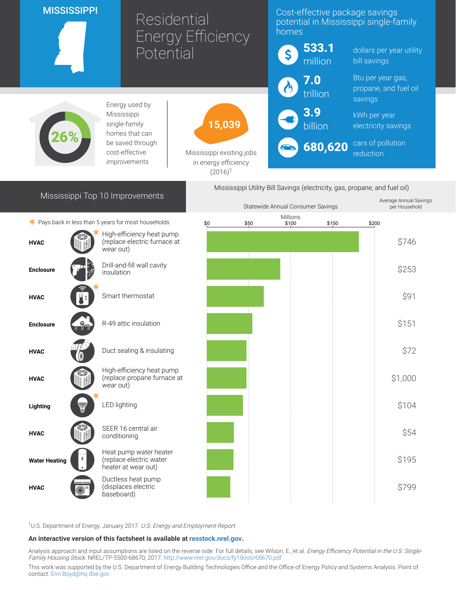| <b>MISSISSIPPI</b><br>Residential                                                                             |  |                                                                          | <b>Energy Efficiency</b>                                        |      | Cost-effective package savings<br>potential in Mississippi single-family<br>homes |              |                                            |                     |
|---------------------------------------------------------------------------------------------------------------|--|--------------------------------------------------------------------------|-----------------------------------------------------------------|------|-----------------------------------------------------------------------------------|--------------|--------------------------------------------|---------------------|
| Potential                                                                                                     |  | \$                                                                       |                                                                 |      | 533.1<br>million                                                                  | bill savings | dollars per year utility                   |                     |
|                                                                                                               |  |                                                                          |                                                                 |      | $\overline{\mathbf{7.0}}$                                                         |              | Btu per year gas,<br>propane, and fuel oil |                     |
|                                                                                                               |  | Energy used by                                                           |                                                                 |      |                                                                                   | trillion     | savings                                    |                     |
| Mississippi<br>single-family<br>homes that can                                                                |  |                                                                          | 15,039                                                          |      | 3.9                                                                               | billion      | kWh per year                               | electricity savings |
|                                                                                                               |  | be saved through<br>cost-effective<br>improvements                       | Mississippi existing jobs<br>in energy efficiency<br>$(2016)^1$ |      |                                                                                   | 680,620      | reduction                                  | cars of pollution   |
| Mississippi Utility Bill Savings (electricity, gas, propane, and fuel oil)<br>Mississippi Top 10 Improvements |  |                                                                          |                                                                 |      |                                                                                   |              |                                            |                     |
|                                                                                                               |  |                                                                          |                                                                 |      | Statewide Annual Consumer Savings                                                 |              | Average Annual Savings<br>per Household    |                     |
|                                                                                                               |  | * Pays back in less than 5 years for most households                     | \$0                                                             | \$50 | Millions<br>\$100                                                                 | \$150        | \$200                                      |                     |
| <b>HVAC</b>                                                                                                   |  | High-efficiency heat pump<br>(replace electric furnace at<br>wear out)   |                                                                 |      |                                                                                   |              |                                            | \$746               |
| <b>Enclosure</b>                                                                                              |  | Drill-and-fill wall cavity<br>insulation                                 |                                                                 |      |                                                                                   |              |                                            | \$253               |
| <b>HVAC</b>                                                                                                   |  | Smart thermostat                                                         |                                                                 |      |                                                                                   |              |                                            | \$91                |
| <b>Enclosure</b>                                                                                              |  | R-49 attic insulation                                                    |                                                                 |      |                                                                                   |              |                                            | \$151               |
| <b>HVAC</b>                                                                                                   |  | Duct sealing & insulating                                                |                                                                 |      |                                                                                   |              |                                            | \$72                |
| <b>HVAC</b>                                                                                                   |  | High-efficiency heat pump<br>(replace propane furnace at<br>wear out)    |                                                                 |      |                                                                                   |              |                                            | \$1,000             |
| Lighting                                                                                                      |  | <b>LED lighting</b>                                                      |                                                                 |      |                                                                                   |              |                                            | \$104               |
| <b>HVAC</b>                                                                                                   |  | SEER 16 central air<br>conditioning                                      |                                                                 |      |                                                                                   |              |                                            | \$54                |
| <b>Water Heating</b>                                                                                          |  | Heat pump water heater<br>(replace electric water<br>heater at wear out) |                                                                 |      |                                                                                   |              |                                            | \$195               |
| <b>HVAC</b>                                                                                                   |  | Ductless heat pump<br>(displaces electric<br>baseboard)                  |                                                                 |      |                                                                                   |              |                                            | \$799               |

<sup>1</sup>U.S. Department of Energy. January 2017. U.S. Energy and Employment Report

## An interactive version of this factsheet is available at [resstock.nrel.gov.](https://resstock.nrel.gov/)

Analysis approach and input assumptions are listed on the reverse side. For full details, see Wilson, E., et al. *Energy Efficiency Potential in the U.S. Single*-Family Housing Stock. NREL/TP-5500-68670, 2017. <http://www.nrel.gov/docs/fy18osti/68670.pdf>

This work was supported by the U.S. Department of Energy Building Technologies Office and the Office of Energy Policy and Systems Analysis. Point of contact: [Erin.Boyd@hq.doe.gov](mailto:Erin.Boyd@hq.doe.gov)